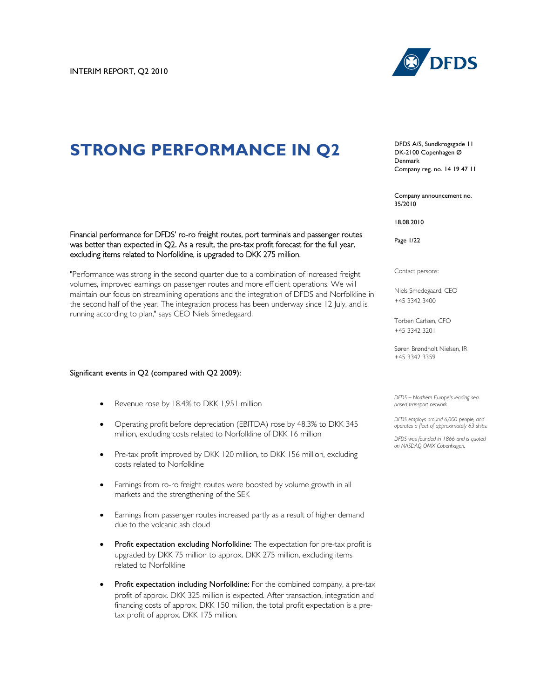# **STRONG PERFORMANCE IN Q2**



DFDS A/S, Sundkrogsgade 11 DK-2100 Copenhagen Ø Denmark Company reg. no. 14 19 47 11

Company announcement no. 35/2010

18.08.2010

Page 1/22

Contact persons:

Niels Smedegaard, CEO +45 3342 3400

Torben Carlsen, CFO +45 3342 3201

Søren Brøndholt Nielsen, IR +45 3342 3359

*DFDS – Northern Europe's leading seabased transport network.* 

*DFDS employs around 6,000 people, and operates a fleet of approximately 63 ships.*

*DFDS was founded in 1866 and is quoted on NASDAQ OMX Copenhagen.* 

Financial performance for DFDS' ro-ro freight routes, port terminals and passenger routes was better than expected in Q2. As a result, the pre-tax profit forecast for the full year, excluding items related to Norfolkline, is upgraded to DKK 275 million.

"Performance was strong in the second quarter due to a combination of increased freight volumes, improved earnings on passenger routes and more efficient operations. We will maintain our focus on streamlining operations and the integration of DFDS and Norfolkline in the second half of the year. The integration process has been underway since 12 July, and is running according to plan," says CEO Niels Smedegaard.

#### Significant events in Q2 (compared with Q2 2009):

- Revenue rose by 18.4% to DKK 1,951 million
- Operating profit before depreciation (EBITDA) rose by 48.3% to DKK 345 million, excluding costs related to Norfolkline of DKK 16 million
- Pre-tax profit improved by DKK 120 million, to DKK 156 million, excluding costs related to Norfolkline
- Earnings from ro-ro freight routes were boosted by volume growth in all markets and the strengthening of the SEK
- Earnings from passenger routes increased partly as a result of higher demand due to the volcanic ash cloud
- Profit expectation excluding Norfolkline: The expectation for pre-tax profit is upgraded by DKK 75 million to approx. DKK 275 million, excluding items related to Norfolkline
- Profit expectation including Norfolkline: For the combined company, a pre-tax profit of approx. DKK 325 million is expected. After transaction, integration and financing costs of approx. DKK 150 million, the total profit expectation is a pretax profit of approx. DKK 175 million.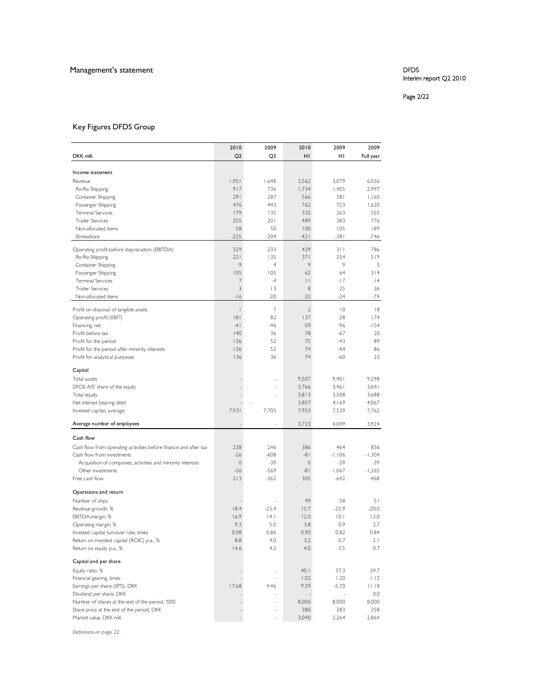# Management's statement **DFDS**

# Interim report Q2 2010

### Page 2/22

# Key Figures DFDS Group

|                                                                                  | 2010           | 2009           | 2010                 | 2009            | 2009          |
|----------------------------------------------------------------------------------|----------------|----------------|----------------------|-----------------|---------------|
| DKK mill.                                                                        | Q <sub>2</sub> | Q <sub>2</sub> | HI                   | HI              | Full year     |
|                                                                                  |                |                |                      |                 |               |
| Income statement                                                                 |                |                |                      |                 |               |
| Revenue                                                                          | 1,951          | 1,648          | 3,562                | 3,079           | 6,556         |
| Ro-Ro Shipping                                                                   | 917            | 736            | 1,734                | 1,405           | 2.997         |
| Container Shipping                                                               | 291            | 287            | 566                  | 581             | 1,165         |
| Passenger Shipping                                                               | 476            | 443            | 762                  | 723             | 1,620         |
| <b>Terminal Services</b>                                                         | 179            | 135            | 332                  | 263             | 555           |
| <b>Trailer Services</b>                                                          | 255            | 201            | 489                  | 383             | 776           |
| Non-allocated items<br>Eliminations                                              | 58<br>$-225$   | 50<br>$-204$   | 100<br>$-421$        | 105<br>$-381$   | 189<br>-746   |
|                                                                                  |                |                |                      |                 |               |
| Operating profit before depreciation (EBITDA)                                    | 329            | 233            | 429                  | 311             | 786           |
| Ro-Ro Shipping                                                                   | 221            | 135            | 371                  | 254             | 519           |
| Container Shipping                                                               | 9              | $\overline{4}$ | 9                    | 9               | 5             |
| Passenger Shipping                                                               | 105            | 105            | 62                   | 64              | 314           |
| <b>Terminal Services</b><br><b>Trailer Services</b>                              | 7<br>3         | $-4$<br> 3     | $\vert \ \vert$<br>8 | $-17$<br>25     | $-14$<br>36   |
| Non-allocated items                                                              | $-16$          | $-20$          | $-32$                | $-24$           | $-74$         |
|                                                                                  |                |                |                      |                 |               |
| Profit on disposal of tangible assets                                            | $\vert$        | $\overline{7}$ | $\mathbf{2}$         | $\overline{10}$ | 8             |
| Operating profit (EBIT)                                                          | 8              | 82             | 137                  | 28              | 174           |
| Financing, net                                                                   | $-41$          | $-46$          | $-59$                | $-96$           | $-154$        |
| Profit before tax                                                                | 140            | 36<br>52       | 78                   | $-67$           | 20            |
| Profit for the period                                                            | 136<br>136     | 52             | 75<br>74             | $-43$<br>$-44$  | 89            |
| Profit for the period after minority interests<br>Profit for analytical purposes | 136            | 36             | 74                   | $-60$           | 86<br>23      |
|                                                                                  |                |                |                      |                 |               |
| Capital                                                                          |                |                |                      |                 |               |
| Total assets                                                                     |                |                | 9,507                | 9,401           | 9,298         |
| DFDS A/S' share of the equity                                                    |                |                | 3,766                | 3,461           | 3,641         |
| Total equity                                                                     |                |                | 3,813                | 3,508           | 3,688         |
| Net interest bearing debt                                                        |                |                | 3,857                | 4,169           | 4,067         |
| Invested capital, average                                                        | 7,931          | 7,705          | 7,953                | 7,529           | 7,762         |
| Average number of employees                                                      |                |                | 3,723                | 4,049           | 3,924         |
| Cash flow                                                                        |                |                |                      |                 |               |
| Cash flow from operating activities before finance and after tax                 | 238            | 246            | 386                  | 464             | 836           |
| Cash flow from investments                                                       | $-26$          | $-608$         | $-81$                | $-1,106$        | $-1,304$      |
| Acquisition of companies, activities and minority interests                      | $\circ$        | $-39$          | $\mathbf 0$          | $-39$           | $-39$         |
| Other investments                                                                | $-26$          | $-569$         | $-81$                | $-1,067$        | $-1,265$      |
| Free cash flow                                                                   | 213            | $-362$         | 305                  | $-642$          | -468          |
|                                                                                  |                |                |                      |                 |               |
| Operations and return                                                            |                |                |                      |                 |               |
| Number of ships<br>Revenue growth, %                                             | 18.4           | $-25.4$        | 49<br>15.7           | 58<br>$-25.9$   | 51<br>$-20.0$ |
| EBITDA-margin, %                                                                 | 16.9           | 4.1            | 12.0                 | 10.1            | 12.0          |
| Operating margin, %                                                              | 9.3            | 5.0            | 3.8                  | 0.9             | 2.7           |
| Invested capital turnover rate, times                                            | 0.98           | 0.86           | 0.90                 | 0.82            | 0.84          |
| Return on invested capital (ROIC) p.a., %                                        | 8.8            | 4.0            | 3.2                  | 0.7             | 2.1           |
| Return on equity p.a., %                                                         | 14.6           | 4.2            | 4.0                  | $-3.5$          | 0.7           |
|                                                                                  |                |                |                      |                 |               |
| Capital and per share                                                            |                |                |                      |                 |               |
| Equity ratio, %                                                                  |                | $\overline{a}$ | 40.1                 | 37.3            | 39.7          |
| Financial gearing, times                                                         |                |                | 1.02                 | 1.20            | 1.12          |
| Earnings per share (EPS), DKK<br>Dividend per share, DKK                         | 17.68          | 4.46           | 9.59                 | $-5.70$         | 11.18<br>0.0  |
| Number of shares at the end of the period, '000                                  |                | $\overline{a}$ | 8,000                | 8,000           | 8,000         |
| Share price at the end of the period, DKK                                        |                |                | 380                  | 283             | 358           |
| Market value, DKK mill.                                                          |                |                | 3,040                | 2,264           | 2,864         |
|                                                                                  |                |                |                      |                 |               |

*Definitions on page 22.*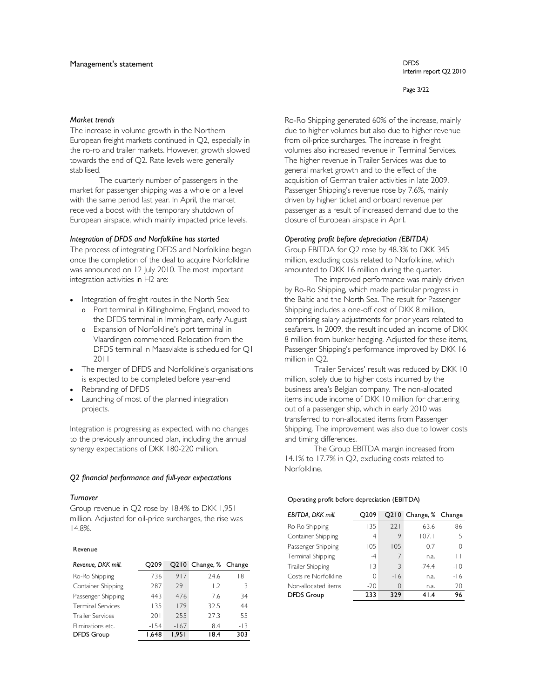#### Page 3/22

#### *Market trends*

The increase in volume growth in the Northern European freight markets continued in Q2, especially in the ro-ro and trailer markets. However, growth slowed towards the end of Q2. Rate levels were generally stabilised.

The quarterly number of passengers in the market for passenger shipping was a whole on a level with the same period last year. In April, the market received a boost with the temporary shutdown of European airspace, which mainly impacted price levels.

#### *Integration of DFDS and Norfolkline has started*

The process of integrating DFDS and Norfolkline began once the completion of the deal to acquire Norfolkline was announced on 12 July 2010. The most important integration activities in H2 are:

- Integration of freight routes in the North Sea:
	- o Port terminal in Killingholme, England, moved to the DFDS terminal in Immingham, early August
	- o Expansion of Norfolkline's port terminal in Vlaardingen commenced. Relocation from the DFDS terminal in Maasvlakte is scheduled for Q1 2011
- The merger of DFDS and Norfolkline's organisations is expected to be completed before year-end
- Rebranding of DFDS
- Launching of most of the planned integration projects.

Integration is progressing as expected, with no changes to the previously announced plan, including the annual synergy expectations of DKK 180-220 million.

#### *Q2 financial performance and full-year expectations*

#### *Turnover*

Group revenue in Q2 rose by 18.4% to DKK 1,951 million. Adjusted for oil-price surcharges, the rise was 14.8%.

#### Revenue

| Revenue, DKK mill.       | O <sub>209</sub> |        | Q210 Change, % Change |       |
|--------------------------|------------------|--------|-----------------------|-------|
| Ro-Ro Shipping           | 736              | 917    | 24.6                  | 181   |
| Container Shipping       | 287              | 791    | $\overline{1.2}$      | 3     |
| Passenger Shipping       | 443              | 476    | 7.6                   | 34    |
| <b>Terminal Services</b> | 135              | 179    | 32.5                  | 44    |
| <b>Trailer Services</b>  | 201              | 255    | 27.3                  | 55    |
| Eliminations etc.        | $-1.54$          | $-167$ | 8.4                   | $-13$ |
| <b>DFDS</b> Group        | 648. ا           | 1.951  | 18.4                  | 303   |

Ro-Ro Shipping generated 60% of the increase, mainly due to higher volumes but also due to higher revenue from oil-price surcharges. The increase in freight volumes also increased revenue in Terminal Services. The higher revenue in Trailer Services was due to general market growth and to the effect of the acquisition of German trailer activities in late 2009. Passenger Shipping's revenue rose by 7.6%, mainly driven by higher ticket and onboard revenue per passenger as a result of increased demand due to the closure of European airspace in April.

#### *Operating profit before depreciation (EBITDA)*

Group EBITDA for Q2 rose by 48.3% to DKK 345 million, excluding costs related to Norfolkline, which amounted to DKK 16 million during the quarter.

The improved performance was mainly driven by Ro-Ro Shipping, which made particular progress in the Baltic and the North Sea. The result for Passenger Shipping includes a one-off cost of DKK 8 million, comprising salary adjustments for prior years related to seafarers. In 2009, the result included an income of DKK 8 million from bunker hedging. Adjusted for these items, Passenger Shipping's performance improved by DKK 16 million in Q2.

Trailer Services' result was reduced by DKK 10 million, solely due to higher costs incurred by the business area's Belgian company. The non-allocated items include income of DKK 10 million for chartering out of a passenger ship, which in early 2010 was transferred to non-allocated items from Passenger Shipping. The improvement was also due to lower costs and timing differences.

The Group EBITDA margin increased from 14.1% to 17.7% in Q2, excluding costs related to Norfolkline.

#### Operating profit before depreciation (EBITDA)

| EBITDA, DKK mill.    | O <sub>209</sub> |          | Q210 Change, % Change |                |
|----------------------|------------------|----------|-----------------------|----------------|
| Ro-Ro Shipping       | 135              | 221      | 63.6                  | 86             |
| Container Shipping   | 4                | 9        | 107.1                 | $\overline{5}$ |
| Passenger Shipping   | 105              | 105      | 0.7                   | 0              |
| Terminal Shipping    | $-4$             | 7        | n.a.                  | Н              |
| Trailer Shipping     | $\overline{3}$   | 3        | $-74.4$               | $-10$          |
| Costs re Norfolkline | 0                | $-16$    | n.a.                  | $-16$          |
| Non-allocated items  | $-20$            | $\Omega$ | n.a.                  | 20             |
| <b>DFDS Group</b>    | 233              | 329      | 41.4                  | 96             |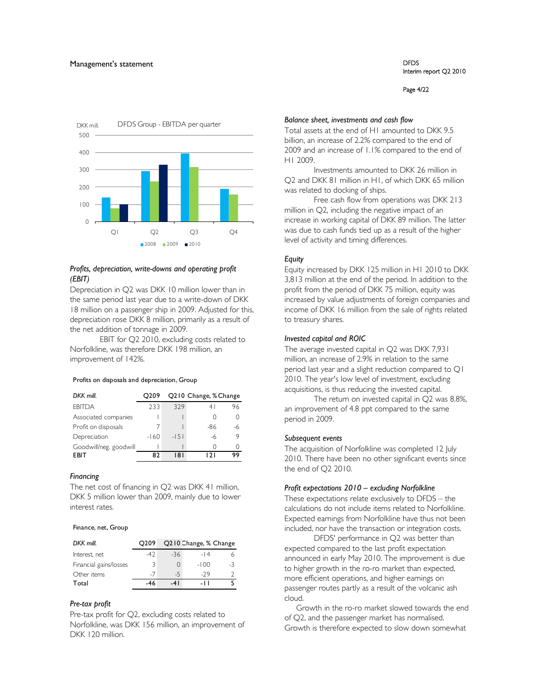Page 4/22



#### *Profits, depreciation, write-downs and operating profit (EBIT)*

Depreciation in Q2 was DKK 10 million lower than in the same period last year due to a write-down of DKK 18 million on a passenger ship in 2009. Adjusted for this, depreciation rose DKK 8 million, primarily as a result of the net addition of tonnage in 2009.

EBIT for Q2 2010, excluding costs related to Norfolkline, was therefore DKK 198 million, an improvement of 142%.

#### Profits on disposals and depreciation, Group

| DKK mill.              | O <sub>209</sub> | Q210 Change, % Change |     |    |  |  |  |
|------------------------|------------------|-----------------------|-----|----|--|--|--|
| <b>FBITDA</b>          | 233              | 329                   | 41  | 96 |  |  |  |
| Associated companies   |                  |                       |     |    |  |  |  |
| Profit on disposals    |                  |                       | -86 |    |  |  |  |
| Depreciation           | $-160$           | $-151$                | -6  | 9  |  |  |  |
| Goodwill/neg. goodwill |                  |                       |     |    |  |  |  |
| <b>FRIT</b>            | R٦               | 181                   |     | ۹q |  |  |  |

#### *Financing*

The net cost of financing in Q2 was DKK 41 million, DKK 5 million lower than 2009, mainly due to lower interest rates.

#### Finance, net, Group

| DKK mill.              | O <sub>2</sub> 09 | Q210 Change, % Change |        |      |  |  |  |
|------------------------|-------------------|-----------------------|--------|------|--|--|--|
| Interest, net          | -47               | $-36$                 | $-14$  |      |  |  |  |
| Financial gains/losses |                   |                       | $-100$ | $-3$ |  |  |  |
| Other items            | $-7$              | $-5$                  | $-29$  |      |  |  |  |
| Total                  | -46               | -41                   | - 11   |      |  |  |  |

#### *Pre-tax profit*

Pre-tax profit for Q2, excluding costs related to Norfolkline, was DKK 156 million, an improvement of DKK 120 million.

#### *Balance sheet, investments and cash flow*

Total assets at the end of H1 amounted to DKK 9.5 billion, an increase of 2.2% compared to the end of 2009 and an increase of 1.1% compared to the end of H1 2009.

Investments amounted to DKK 26 million in Q2 and DKK 81 million in H1, of which DKK 65 million was related to docking of ships.

Free cash flow from operations was DKK 213 million in Q2, including the negative impact of an increase in working capital of DKK 89 million. The latter was due to cash funds tied up as a result of the higher level of activity and timing differences.

#### *Equity*

Equity increased by DKK 125 million in H1 2010 to DKK 3,813 million at the end of the period. In addition to the profit from the period of DKK 75 million, equity was increased by value adjustments of foreign companies and income of DKK 16 million from the sale of rights related to treasury shares.

#### *Invested capital and ROIC*

The average invested capital in Q2 was DKK 7,931 million, an increase of 2.9% in relation to the same period last year and a slight reduction compared to Q1 2010. The year's low level of investment, excluding acquisitions, is thus reducing the invested capital.

The return on invested capital in Q2 was 8.8%, an improvement of 4.8 ppt compared to the same period in 2009.

#### *Subsequent events*

The acquisition of Norfolkline was completed 12 July 2010. There have been no other significant events since the end of Q2 2010.

#### *Profit expectations 2010 – excluding Norfolkline*

These expectations relate exclusively to DFDS – the calculations do not include items related to Norfolkline. Expected earnings from Norfolkline have thus not been included, nor have the transaction or integration costs.

DFDS' performance in Q2 was better than expected compared to the last profit expectation announced in early May 2010. The improvement is due to higher growth in the ro-ro market than expected, more efficient operations, and higher earnings on passenger routes partly as a result of the volcanic ash cloud.

Growth in the ro-ro market slowed towards the end of Q2, and the passenger market has normalised. Growth is therefore expected to slow down somewhat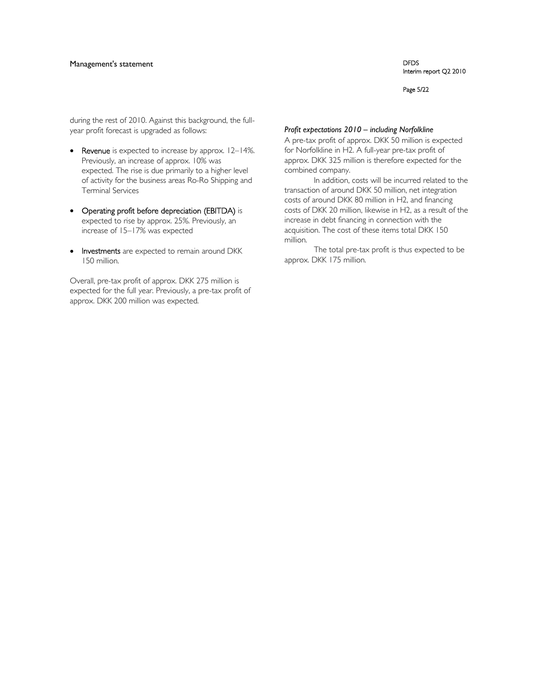## Management's statement **DFDS**

Interim report Q2 2010

#### Page 5/22

during the rest of 2010. Against this background, the fullyear profit forecast is upgraded as follows:

- Revenue is expected to increase by approx. 12–14%. Previously, an increase of approx. 10% was expected. The rise is due primarily to a higher level of activity for the business areas Ro-Ro Shipping and Terminal Services
- Operating profit before depreciation (EBITDA) is expected to rise by approx. 25%. Previously, an increase of 15–17% was expected
- Investments are expected to remain around DKK 150 million.

Overall, pre-tax profit of approx. DKK 275 million is expected for the full year. Previously, a pre-tax profit of approx. DKK 200 million was expected.

#### *Profit expectations 2010 – including Norfolkline*

A pre-tax profit of approx. DKK 50 million is expected for Norfolkline in H2. A full-year pre-tax profit of approx. DKK 325 million is therefore expected for the combined company.

In addition, costs will be incurred related to the transaction of around DKK 50 million, net integration costs of around DKK 80 million in H2, and financing costs of DKK 20 million, likewise in H2, as a result of the increase in debt financing in connection with the acquisition. The cost of these items total DKK 150 million.

The total pre-tax profit is thus expected to be approx. DKK 175 million.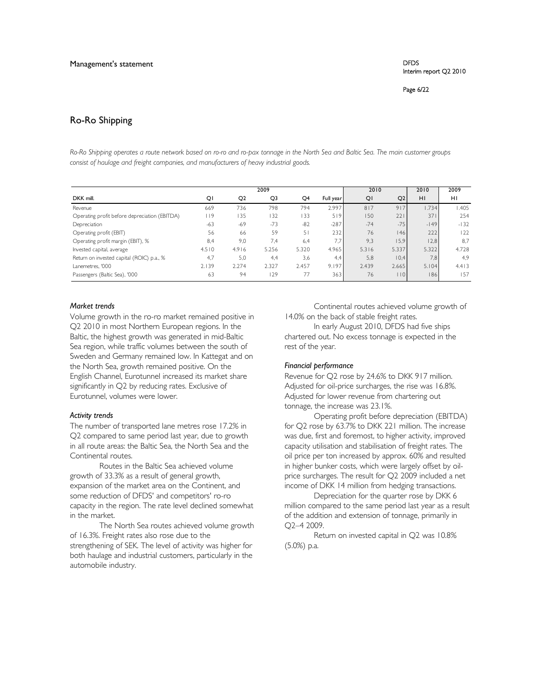Page 6/22

# Ro-Ro Shipping

*Ro-Ro Shipping operates a route network based on ro-ro and ro-pax tonnage in the North Sea and Baltic Sea. The main customer groups consist of haulage and freight companies, and manufacturers of heavy industrial goods.* 

|                                               |       |                | 2009  |       |           | 2010  |       | 2010   | 2009   |
|-----------------------------------------------|-------|----------------|-------|-------|-----------|-------|-------|--------|--------|
| DKK mill.                                     | QI    | Q <sub>2</sub> | Q3    | Q4    | Full year | QI    | Q2    | H1     | HI     |
| Revenue                                       | 669   | 736            | 798   | 794   | 2.997     | 817   | 917   | 1.734  | 1.405  |
| Operating profit before depreciation (EBITDA) | l 19  | 135            | 132   | 133   | 519       | 150   | 221   | 371    | 254    |
| Depreciation                                  | $-63$ | $-69$          | $-73$ | $-82$ | $-287$    | $-74$ | $-75$ | $-149$ | $-132$ |
| Operating profit (EBIT)                       | 56    | 66             | 59    | 51    | 232       | 76    | 46    | 222    | 122    |
| Operating profit margin (EBIT), %             | 8,4   | 9,0            | 7.4   | 6.4   | 7.7       | 9.3   | 15,9  | 12,8   | 8,7    |
| Invested capital, average                     | 4.510 | 4.916          | 5.256 | 5.320 | 4.965     | 5.316 | 5.337 | 5.322  | 4.728  |
| Return on invested capital (ROIC) p.a., %     | 4,7   | 5,0            | 4,4   | 3,6   | 4,4       | 5,8   | 0,4   | 7,8    | 4.9    |
| Lanemetres, '000                              | 2.139 | 2.274          | 2.327 | 2.457 | 9.197     | 2.439 | 2.665 | 5.104  | 4.413  |
| Passengers (Baltic Sea), '000                 | 63    | 94             | 29    | 77    | 363       | 76    | 10    | 186    | 157    |

#### *Market trends*

Volume growth in the ro-ro market remained positive in Q2 2010 in most Northern European regions. In the Baltic, the highest growth was generated in mid-Baltic Sea region, while traffic volumes between the south of Sweden and Germany remained low. In Kattegat and on the North Sea, growth remained positive. On the English Channel, Eurotunnel increased its market share significantly in Q2 by reducing rates. Exclusive of Eurotunnel, volumes were lower.

#### *Activity trends*

The number of transported lane metres rose 17.2% in Q2 compared to same period last year, due to growth in all route areas: the Baltic Sea, the North Sea and the Continental routes.

Routes in the Baltic Sea achieved volume growth of 33.3% as a result of general growth, expansion of the market area on the Continent, and some reduction of DFDS' and competitors' ro-ro capacity in the region. The rate level declined somewhat in the market.

The North Sea routes achieved volume growth of 16.3%. Freight rates also rose due to the strengthening of SEK. The level of activity was higher for both haulage and industrial customers, particularly in the automobile industry.

Continental routes achieved volume growth of 14.0% on the back of stable freight rates.

In early August 2010, DFDS had five ships chartered out. No excess tonnage is expected in the rest of the year.

#### *Financial performance*

Revenue for Q2 rose by 24.6% to DKK 917 million. Adjusted for oil-price surcharges, the rise was 16.8%. Adjusted for lower revenue from chartering out tonnage, the increase was 23.1%.

Operating profit before depreciation (EBITDA) for Q2 rose by 63.7% to DKK 221 million. The increase was due, first and foremost, to higher activity, improved capacity utilisation and stabilisation of freight rates. The oil price per ton increased by approx. 60% and resulted in higher bunker costs, which were largely offset by oilprice surcharges. The result for Q2 2009 included a net income of DKK 14 million from hedging transactions.

Depreciation for the quarter rose by DKK 6 million compared to the same period last year as a result of the addition and extension of tonnage, primarily in Q2–4 2009.

Return on invested capital in Q2 was 10.8% (5.0%) p.a.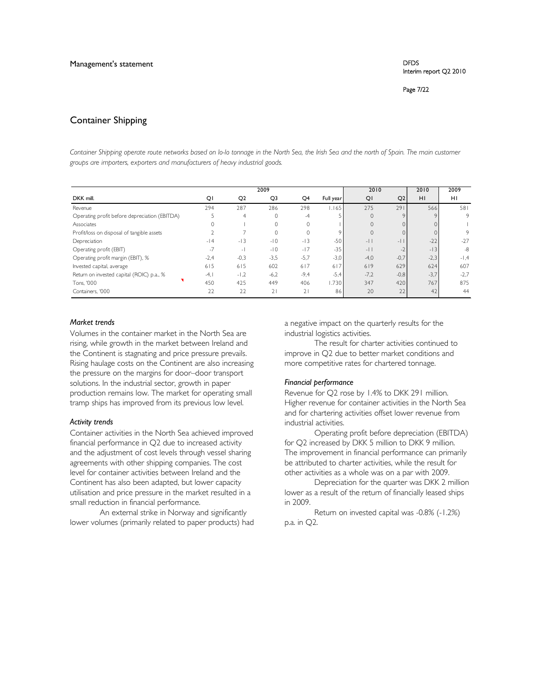Page 7/22

## Container Shipping

*Container Shipping operate route networks based on lo-lo tonnage in the North Sea, the Irish Sea and the north of Spain. The main customer groups are importers, exporters and manufacturers of heavy industrial goods.* 

|                                               |        |                          | 2009           |                |           | 2010         |                | 2010   | 2009   |
|-----------------------------------------------|--------|--------------------------|----------------|----------------|-----------|--------------|----------------|--------|--------|
| DKK mill.                                     | QI     | Q <sub>2</sub>           | Q <sub>3</sub> | Q <sub>4</sub> | Full year | QI           | Q2             | HI     | HI     |
| Revenue                                       | 294    | 287                      | 286            | 298            | 1.165     | 275          | 291            | 566    | 581    |
| Operating profit before depreciation (EBITDA) |        | $\overline{4}$           | 0              | $-4$           |           | $\circ$      |                |        | 9      |
| Associates                                    |        |                          | 0              | $\mathbf{0}$   |           | $\mathbf{0}$ |                |        |        |
| Profit/loss on disposal of tangible assets    |        |                          | $\Omega$       | $\Omega$       |           | $\Omega$     |                |        | 9      |
| Depreciation                                  | $-14$  | $-13$                    | $-10$          | $-13$          | $-50$     | $-11$        | $\overline{a}$ | $-22$  | $-27$  |
| Operating profit (EBIT)                       | $-7$   | $\overline{\phantom{a}}$ | $-10$          | $-17$          | $-35$     | $-11$        |                | $-13$  | $-8$   |
| Operating profit margin (EBIT), %             | $-2,4$ | $-0,3$                   | $-3,5$         | $-5,7$         | $-3,0$    | $-4,0$       | $-0,7'$        | $-2,3$ | $-1,4$ |
| Invested capital, average                     | 615    | 615                      | 602            | 617            | 617       | 619          | 629            | 624    | 607    |
| Return on invested capital (ROIC) p.a., %     | $-4,$  | $-1,2$                   | $-6,2$         | $-9,4$         | $-5.4$    | $-7,2$       | $-0,8$         | $-3,7$ | $-2,7$ |
| Tons, '000                                    | 450    | 425                      | 449            | 406            | 1.730     | 347          | 420            | 767    | 875    |
| Containers. '000                              | 22     | 22                       | 21             | 21             | 86        | 20           | 22             | 42     | 44     |

#### *Market trends*

Volumes in the container market in the North Sea are rising, while growth in the market between Ireland and the Continent is stagnating and price pressure prevails. Rising haulage costs on the Continent are also increasing the pressure on the margins for door–door transport solutions. In the industrial sector, growth in paper production remains low. The market for operating small tramp ships has improved from its previous low level.

#### *Activity trends*

Container activities in the North Sea achieved improved financial performance in Q2 due to increased activity and the adjustment of cost levels through vessel sharing agreements with other shipping companies. The cost level for container activities between Ireland and the Continent has also been adapted, but lower capacity utilisation and price pressure in the market resulted in a small reduction in financial performance.

An external strike in Norway and significantly lower volumes (primarily related to paper products) had a negative impact on the quarterly results for the industrial logistics activities.

The result for charter activities continued to improve in Q2 due to better market conditions and more competitive rates for chartered tonnage.

#### *Financial performance*

Revenue for Q2 rose by 1.4% to DKK 291 million. Higher revenue for container activities in the North Sea and for chartering activities offset lower revenue from industrial activities.

Operating profit before depreciation (EBITDA) for Q2 increased by DKK 5 million to DKK 9 million. The improvement in financial performance can primarily be attributed to charter activities, while the result for other activities as a whole was on a par with 2009.

Depreciation for the quarter was DKK 2 million lower as a result of the return of financially leased ships in 2009.

Return on invested capital was -0.8% (-1.2%) p.a. in Q2.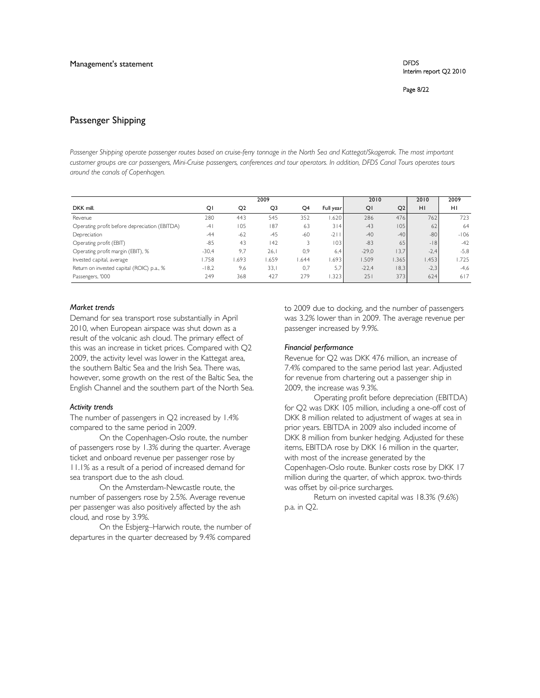Page 8/22

### Passenger Shipping

Passenger Shipping operate passenger routes based on cruise-ferry tonnage in the North Sea and Kattegat/Skagerrak. The most important *customer groups are car passengers, Mini-Cruise passengers, conferences and tour operators. In addition, DFDS Canal Tours operates tours around the canals of Copenhagen.* 

|                                               |         |                | 2009           |       |           | 2010    |       | 2010   | 2009   |
|-----------------------------------------------|---------|----------------|----------------|-------|-----------|---------|-------|--------|--------|
| DKK mill.                                     | QI      | Q <sub>2</sub> | Q <sub>3</sub> | Q4    | Full year | QI      | Q2    | H1     | H1     |
| Revenue                                       | 280     | 443            | 545            | 352   | .620      | 286     | 476   | 7621   | 723    |
| Operating profit before depreciation (EBITDA) | $-41$   | 105            | 187            | 63    | 314       | $-43$   | 105   | 62     | 64     |
| Depreciation                                  | $-44$   | $-62$          | $-45$          | $-60$ | $-2$      | $-40$   | $-40$ | $-80$  | $-106$ |
| Operating profit (EBIT)                       | $-85$   | 43             | 142            |       | 1031      | $-83$   | 65    | $-18$  | $-42$  |
| Operating profit margin (EBIT), %             | $-30,4$ | 9,7            | 26.1           | 0,9   | 6,4       | $-29,0$ | 13,7  | $-2,4$ | $-5,8$ |
| Invested capital, average                     | .758    | .693           | .659           | .644  | .693      | .509    | .365  | .453   | .725   |
| Return on invested capital (ROIC) p.a., %     | $-18,2$ | 9,6            | 33.1           | 0,7   | 5.7       | $-22,4$ | 8,3   | $-2,3$ | $-4,6$ |
| Passengers, '000                              | 249     | 368            | 427            | 279   | .323      | 251     | 373   | 624    | 617    |

#### *Market trends*

Demand for sea transport rose substantially in April 2010, when European airspace was shut down as a result of the volcanic ash cloud. The primary effect of this was an increase in ticket prices. Compared with Q2 2009, the activity level was lower in the Kattegat area, the southern Baltic Sea and the Irish Sea. There was, however, some growth on the rest of the Baltic Sea, the English Channel and the southern part of the North Sea.

#### *Activity trends*

The number of passengers in Q2 increased by 1.4% compared to the same period in 2009.

On the Copenhagen-Oslo route, the number of passengers rose by 1.3% during the quarter. Average ticket and onboard revenue per passenger rose by 11.1% as a result of a period of increased demand for sea transport due to the ash cloud.

On the Amsterdam-Newcastle route, the number of passengers rose by 2.5%. Average revenue per passenger was also positively affected by the ash cloud, and rose by 3.9%.

On the Esbjerg–Harwich route, the number of departures in the quarter decreased by 9.4% compared

to 2009 due to docking, and the number of passengers was 3.2% lower than in 2009. The average revenue per passenger increased by 9.9%.

#### *Financial performance*

Revenue for Q2 was DKK 476 million, an increase of 7.4% compared to the same period last year. Adjusted for revenue from chartering out a passenger ship in 2009, the increase was 9.3%.

Operating profit before depreciation (EBITDA) for Q2 was DKK 105 million, including a one-off cost of DKK 8 million related to adjustment of wages at sea in prior years. EBITDA in 2009 also included income of DKK 8 million from bunker hedging. Adjusted for these items, EBITDA rose by DKK 16 million in the quarter, with most of the increase generated by the Copenhagen-Oslo route. Bunker costs rose by DKK 17 million during the quarter, of which approx. two-thirds was offset by oil-price surcharges.

Return on invested capital was 18.3% (9.6%) p.a. in Q2.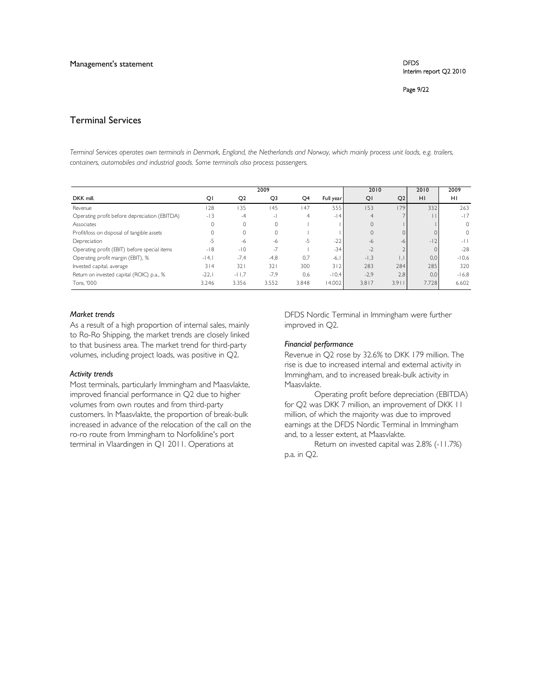Page 9/22

## Terminal Services

*Terminal Services operates own terminals in Denmark, England, the Netherlands and Norway, which mainly process unit loads, e.g. trailers, containers, automobiles and industrial goods. Some terminals also process passengers.* 

|                                               |         |                | 2009           |       |           | 2010           |       | 2010  | 2009     |
|-----------------------------------------------|---------|----------------|----------------|-------|-----------|----------------|-------|-------|----------|
| DKK mill.                                     | QI      | Q <sub>2</sub> | Q <sub>3</sub> | Q4    | Full year | QI             | Q2    | H1    | H1       |
| Revenue                                       | 28      | 135            | 145            | 147   | 555       | 153            | 179   | 332   | 263      |
| Operating profit before depreciation (EBITDA) | $-13$   | $-4$           | - 1            | 4     | $-14$     | $\overline{4}$ |       |       | $-17$    |
| Associates                                    | 0       | $\mathbf{0}$   |                |       |           | $\mathbf{0}$   |       |       | $\circ$  |
| Profit/loss on disposal of tangible assets    | 0       | 0              |                |       |           | $\Omega$       |       |       | $\Omega$ |
| Depreciation                                  | $-5$    | $-6$           | -6             | -5    | $-22$     | -6             | -h    | $-12$ | $-11$    |
| Operating profit (EBIT) before special items  | $-18$   | $-10$          | $-7$           |       | $-34$     | $-2$           |       |       | $-28$    |
| Operating profit margin (EBIT), %             | $-14.1$ | $-7,4$         | $-4,8$         | 0.7   | $-6.1$    | $-1,3$         |       | 0.0   | $-10.6$  |
| Invested capital, average                     | 314     | 32             | 321            | 300   | 312       | 283            | 284   | 285   | 320      |
| Return on invested capital (ROIC) p.a., %     | $-22.1$ | $-11,7$        | $-7,9$         | 0,6   | $-10.4$   | $-2,9$         | 2,8   | 0.0   | $-16,8$  |
| Tons. '000                                    | 3.246   | 3.356          | 3.552          | 3.848 | 14.002    | 3.817          | 3.911 | 7.728 | 6.602    |

#### *Market trends*

As a result of a high proportion of internal sales, mainly to Ro-Ro Shipping, the market trends are closely linked to that business area. The market trend for third-party volumes, including project loads, was positive in Q2.

#### *Activity trends*

Most terminals, particularly Immingham and Maasvlakte, improved financial performance in Q2 due to higher volumes from own routes and from third-party customers. In Maasvlakte, the proportion of break-bulk increased in advance of the relocation of the call on the ro-ro route from Immingham to Norfolkline's port terminal in Vlaardingen in Q1 2011. Operations at

DFDS Nordic Terminal in Immingham were further improved in Q2.

#### *Financial performance*

Revenue in Q2 rose by 32.6% to DKK 179 million. The rise is due to increased internal and external activity in Immingham, and to increased break-bulk activity in Maasvlakte.

Operating profit before depreciation (EBITDA) for Q2 was DKK 7 million, an improvement of DKK II million, of which the majority was due to improved earnings at the DFDS Nordic Terminal in Immingham and, to a lesser extent, at Maasvlakte.

Return on invested capital was 2.8% (-11.7%) p.a. in Q2.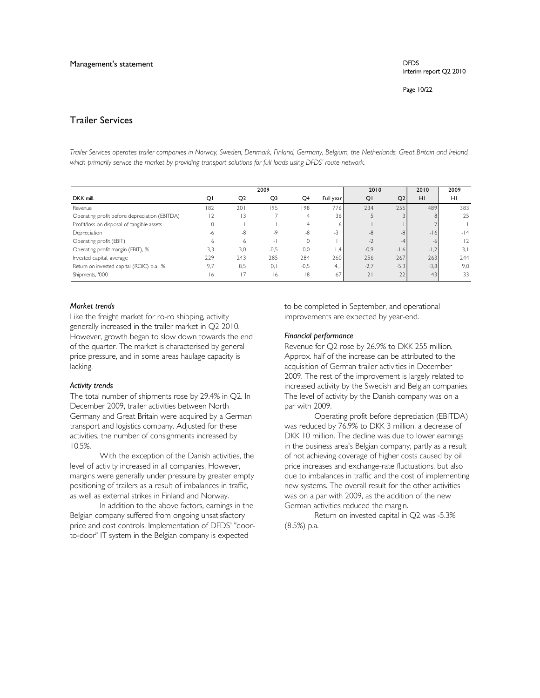Page 10/22

# Trailer Services

*Trailer Services operates trailer companies in Norway, Sweden, Denmark, Finland, Germany, Belgium, the Netherlands, Great Britain and Ireland,*  which primarily service the market by providing transport solutions for full loads using DFDS' route network.

|                                               |      |                | 2009   |                |           | 2010   |        | 2010   | 2009        |
|-----------------------------------------------|------|----------------|--------|----------------|-----------|--------|--------|--------|-------------|
| DKK mill.                                     | QI   | Q <sub>2</sub> | Q3     | Q4             | Full year | QI     | Q2     | HI     | HI          |
| Revenue                                       | 182  | 201            | 195    | 198            | 776       | 234    | 255    | 489    | 383         |
| Operating profit before depreciation (EBITDA) | 12   | 13             |        | $\overline{4}$ | 36        |        |        | 8      | 25          |
| Profit/loss on disposal of tangible assets    | 0    |                |        | 4              | 6.        |        |        |        |             |
| Depreciation                                  | $-6$ | $-8$           | -9     | $-8$           | $-3$      | $-8$   | -8     | $-16$  | $-14$       |
| Operating profit (EBIT)                       | 6    | 6              | - 1    |                |           | -2     | $-4$   | -6     | $ 2\rangle$ |
| Operating profit margin (EBIT), %             | 3,3  | 3,0            | $-0,5$ | 0,0            | 1,4       | $-0,9$ | $-1,6$ | $-1,2$ | 3.1         |
| Invested capital, average                     | 229  | 243            | 285    | 284            | 260       | 256    | 267    | 263    | 244         |
| Return on invested capital (ROIC) p.a., %     | 9,7  | 8,5            | 0.1    | $-0,5$         | 4.1       | $-2,7$ | $-5,3$ | $-3,8$ | 9,0         |
| Shipments, '000                               | 16   | 17             | 16     | 18             | 67        | 21     | 22     | 43     | 33          |

#### *Market trends*

Like the freight market for ro-ro shipping, activity generally increased in the trailer market in Q2 2010. However, growth began to slow down towards the end of the quarter. The market is characterised by general price pressure, and in some areas haulage capacity is lacking.

#### *Activity trends*

The total number of shipments rose by 29.4% in Q2. In December 2009, trailer activities between North Germany and Great Britain were acquired by a German transport and logistics company. Adjusted for these activities, the number of consignments increased by 10.5%.

With the exception of the Danish activities, the level of activity increased in all companies. However, margins were generally under pressure by greater empty positioning of trailers as a result of imbalances in traffic, as well as external strikes in Finland and Norway.

In addition to the above factors, earnings in the Belgian company suffered from ongoing unsatisfactory price and cost controls. Implementation of DFDS' "doorto-door" IT system in the Belgian company is expected

to be completed in September, and operational improvements are expected by year-end.

#### *Financial performance*

Revenue for Q2 rose by 26.9% to DKK 255 million. Approx. half of the increase can be attributed to the acquisition of German trailer activities in December 2009. The rest of the improvement is largely related to increased activity by the Swedish and Belgian companies. The level of activity by the Danish company was on a par with 2009.

Operating profit before depreciation (EBITDA) was reduced by 76.9% to DKK 3 million, a decrease of DKK 10 million. The decline was due to lower earnings in the business area's Belgian company, partly as a result of not achieving coverage of higher costs caused by oil price increases and exchange-rate fluctuations, but also due to imbalances in traffic and the cost of implementing new systems. The overall result for the other activities was on a par with 2009, as the addition of the new German activities reduced the margin.

Return on invested capital in Q2 was -5.3% (8.5%) p.a.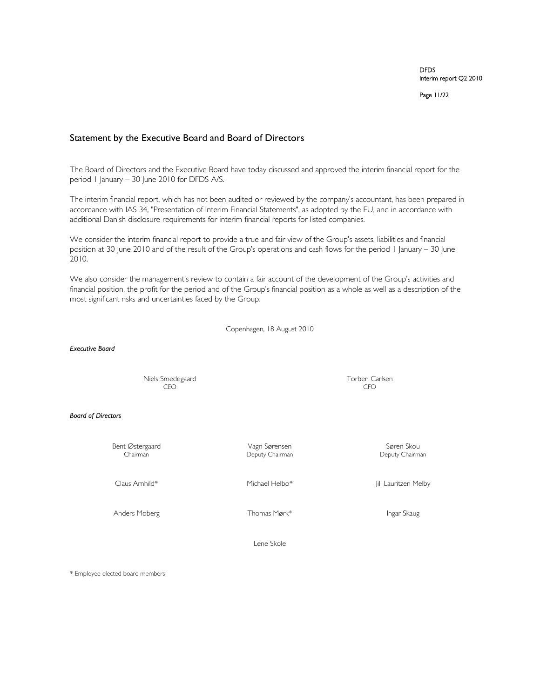Page 11/22

## Statement by the Executive Board and Board of Directors

The Board of Directors and the Executive Board have today discussed and approved the interim financial report for the period 1 January – 30 June 2010 for DFDS A/S.

The interim financial report, which has not been audited or reviewed by the company's accountant, has been prepared in accordance with IAS 34, "Presentation of Interim Financial Statements", as adopted by the EU, and in accordance with additional Danish disclosure requirements for interim financial reports for listed companies.

We consider the interim financial report to provide a true and fair view of the Group's assets, liabilities and financial position at 30 June 2010 and of the result of the Group's operations and cash flows for the period 1 January – 30 June 2010.

We also consider the management's review to contain a fair account of the development of the Group's activities and financial position, the profit for the period and of the Group's financial position as a whole as well as a description of the most significant risks and uncertainties faced by the Group.

Copenhagen, 18 August 2010

*Executive Board*

Niels Smedegaard CEO<br>CEO CEO CEO CEO CFO

*Board of Directors* 

Bent Østergaard Magn Sørensen Søren Skou Søren Skou Søren Skou Søren Skou Søren Skou Søren Skou Søren Skou Søren Skou Søren Skou Søren Skou Søren Skou Søren Skou Søren Skou Søren Skou Søren Skou Søren Skou Søren Skou Søren

Deputy Chairman

Anders Moberg **Information** Thomas Mørk<sup>\*</sup> **Ingar Skaug** Ingar Skaug

Claus Arnhild\* Michael Helbo\* Jill Lauritzen Melby

Lene Skole

\* Employee elected board members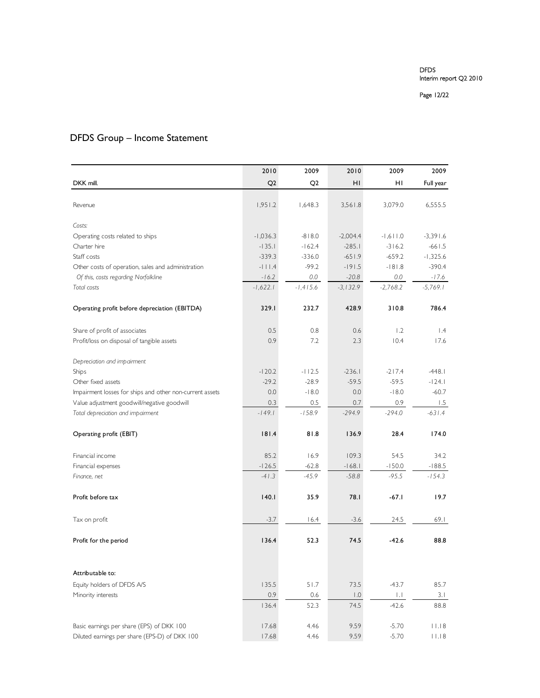Page 12/22

# DFDS Group – Income Statement

|                                                          | 2010           | 2009           | 2010             | 2009       | 2009       |
|----------------------------------------------------------|----------------|----------------|------------------|------------|------------|
| DKK mill.                                                | Q <sub>2</sub> | Q <sub>2</sub> | ΗI               | ΗI         | Full year  |
|                                                          |                |                |                  |            |            |
| Revenue                                                  | 1,951.2        | 1,648.3        | 3,561.8          | 3,079.0    | 6,555.5    |
|                                                          |                |                |                  |            |            |
| Costs:                                                   |                |                |                  |            |            |
| Operating costs related to ships                         | $-1,036.3$     | $-818.0$       | $-2,004.4$       | $-1,611.0$ | $-3,391.6$ |
| Charter hire                                             | $-135.1$       | $-162.4$       | $-285.1$         | $-316.2$   | $-661.5$   |
| Staff costs                                              | $-339.3$       | $-336.0$       | $-651.9$         | $-659.2$   | $-1,325.6$ |
| Other costs of operation, sales and administration       | $-111.4$       | $-99.2$        | $-191.5$         | $-181.8$   | $-390.4$   |
| Of this, costs regarding Norfolkline                     | $-16.2$        | 0.0            | $-20.8$          | 0.0        | $-17.6$    |
| Total costs                                              | $-1,622.1$     | $-1,415.6$     | $-3,132.9$       | $-2.768.2$ | -5,769.1   |
| Operating profit before depreciation (EBITDA)            | 329.I          | 232.7          | 428.9            | 310.8      | 786.4      |
|                                                          |                |                |                  |            |            |
| Share of profit of associates                            | 0.5            | 0.8            | 0.6              | 1.2        | $\perp$ .4 |
| Profit/loss on disposal of tangible assets               | 0.9            | 7.2            | 2.3              | 10.4       | 17.6       |
| Depreciation and impairment                              |                |                |                  |            |            |
| Ships                                                    | $-120.2$       | $-112.5$       | $-236.1$         | $-217.4$   | $-448.1$   |
| Other fixed assets                                       | $-29.2$        | $-28.9$        | $-59.5$          | $-59.5$    | $-124.1$   |
| Impairment losses for ships and other non-current assets | 0.0            | $-18.0$        | 0.0              | $-18.0$    | $-60.7$    |
| Value adjustment goodwill/negative goodwill              | 0.3            | 0.5            | 0.7              | 0.9        | 1.5        |
| Total depreciation and impairment                        | $-149.1$       | $-158.9$       | $-294.9$         | $-294.0$   | $-631.4$   |
|                                                          |                |                |                  |            |            |
| Operating profit (EBIT)                                  | 181.4          | 81.8           | 136.9            | 28.4       | 174.0      |
| Financial income                                         | 85.2           | 16.9           | 109.3            | 54.5       | 34.2       |
| Financial expenses                                       | $-126.5$       | $-62.8$        | $-168.1$         | $-150.0$   | $-188.5$   |
| Finance, net                                             | $-41.3$        | $-45.9$        | $-58.8$          | $-95.5$    | $-154.3$   |
| Profit before tax                                        | 140.1          | 35.9           | 78.I             | $-67.1$    | 19.7       |
|                                                          |                |                |                  |            |            |
| Tax on profit                                            | $-3.7$         | 16.4           | $-3.6$           | 24.5       | 69.I       |
|                                                          |                |                |                  |            |            |
| Profit for the period                                    | 136.4          | 52.3           | 74.5             | $-42.6$    | 88.8       |
|                                                          |                |                |                  |            |            |
| Attributable to:                                         |                |                |                  |            |            |
| Equity holders of DFDS A/S                               | 135.5          | 51.7           | 73.5             | $-43.7$    | 85.7       |
| Minority interests                                       | 0.9            | 0.6            | $\overline{0}$ . | 1.1        | 3.1        |
|                                                          | 136.4          | 52.3           | 74.5             | $-42.6$    | 88.8       |
| Basic earnings per share (EPS) of DKK 100                | 17.68          | 4.46           | 9.59             | $-5.70$    | .   8      |
| Diluted earnings per share (EPS-D) of DKK 100            | 17.68          | 4.46           | 9.59             | $-5.70$    | 11.18      |
|                                                          |                |                |                  |            |            |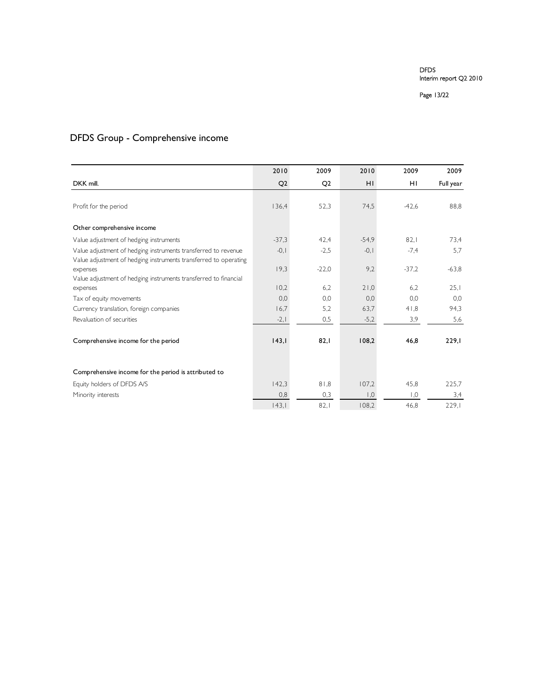Page 13/22

# DFDS Group - Comprehensive income

|                                                                                                                                    | 2010           | 2009           | 2010                            | 2009    | 2009      |
|------------------------------------------------------------------------------------------------------------------------------------|----------------|----------------|---------------------------------|---------|-----------|
| DKK mill.                                                                                                                          | Q <sub>2</sub> | Q <sub>2</sub> | HI                              | HI      | Full year |
|                                                                                                                                    |                |                |                                 |         |           |
| Profit for the period                                                                                                              | 136,4          | 52,3           | 74,5                            | $-42.6$ | 88,8      |
| Other comprehensive income                                                                                                         |                |                |                                 |         |           |
| Value adjustment of hedging instruments                                                                                            | $-37.3$        | 42.4           | $-54.9$                         | 82.1    | 73,4      |
| Value adjustment of hedging instruments transferred to revenue<br>Value adjustment of hedging instruments transferred to operating | $-0, 1$        | $-2,5$         | $-0, 1$                         | $-7,4$  | 5,7       |
| expenses                                                                                                                           | 19,3           | $-22,0$        | 9,2                             | $-37.2$ | $-63.8$   |
| Value adjustment of hedging instruments transferred to financial                                                                   |                |                |                                 |         |           |
| expenses                                                                                                                           | 10,2           | 6.2            | 21,0                            | 6,2     | 25,1      |
| Tax of equity movements                                                                                                            | 0,0            | 0.0            | 0,0                             | 0,0     | 0,0       |
| Currency translation, foreign companies                                                                                            | 16,7           | 5,2            | 63,7                            | 41,8    | 94,3      |
| Revaluation of securities                                                                                                          | $-2,1$         | 0,5            | $-5,2$                          | 3,9     | 5,6       |
| Comprehensive income for the period                                                                                                | 143,1          | 82,1           | 108,2                           | 46,8    | 229,1     |
|                                                                                                                                    |                |                |                                 |         |           |
| Comprehensive income for the period is attributed to                                                                               |                |                |                                 |         |           |
| Equity holders of DFDS A/S                                                                                                         | 142,3          | 81,8           | 107,2                           | 45,8    | 225,7     |
| Minority interests                                                                                                                 | 0,8            | 0,3            | $\overline{0}$ , $\overline{0}$ | 0,1     | 3,4       |
|                                                                                                                                    | 143,1          | 82,1           | 108,2                           | 46,8    | 229,1     |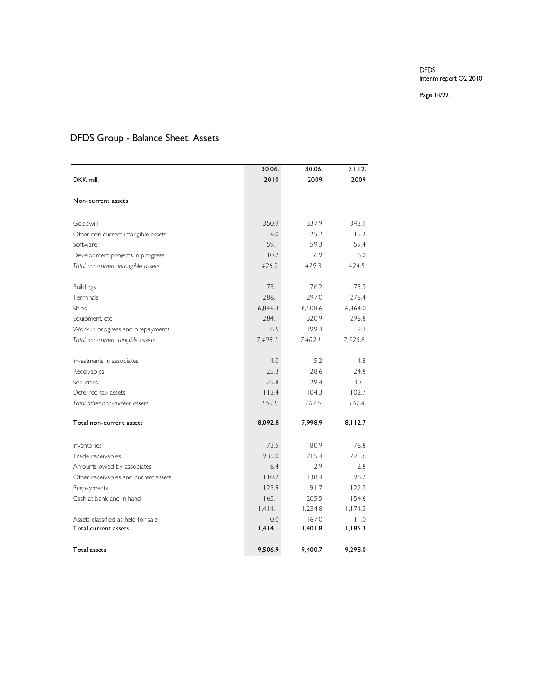#### Page 14/22

# DFDS Group - Balance Sheet, Assets

|                                      | 30.06.  | 30.06.  | 31.12.  |
|--------------------------------------|---------|---------|---------|
| DKK mill.                            | 2010    | 2009    | 2009    |
|                                      |         |         |         |
| Non-current assets                   |         |         |         |
| Goodwill                             | 350.9   | 337.9   | 343.9   |
| Other non-current intangible assets  | 6.0     | 25.2    | 15.2    |
| Software                             | 59.1    | 59.3    | 59.4    |
| Development projects in progress     | 10.2    | 6.9     | 6.0     |
| Total non-current intangible assets  | 426.2   | 429.3   | 424.5   |
| <b>Buildings</b>                     | 75.1    | 76.2    | 75.3    |
| Terminals                            | 286.1   | 297.0   | 278.4   |
| Ships                                | 6,846.3 | 6,508.6 | 6,864.0 |
| Equipment, etc.                      | 284.1   | 320.9   | 298.8   |
| Work in progress and prepayments     | 6.5     | 199.4   | 9.3     |
| Total non-current tangible assets    | 7,498.1 | 7,402.1 | 7,525.8 |
| Investments in associates            | 4.0     | 5.2     | 4.8     |
| Receivables                          | 25.3    | 28.6    | 24.8    |
| Securities                           | 25.8    | 29.4    | 30.1    |
| Deferred tax assets                  | 113.4   | 104.3   | 102.7   |
| Total other non-current assets       | 168.5   | 167.5   | 162.4   |
| Total non-current assets             | 8,092.8 | 7,998.9 | 8,112.7 |
| Inventories                          | 73.5    | 80.9    | 76.8    |
| Trade receivables                    | 935.0   | 715.4   | 721.6   |
| Amounts owed by associates           | 6.4     | 2.9     | 2.8     |
| Other receivables and current assets | 110.2   | 138.4   | 96.2    |
| Prepayments                          | 123.9   | 91.7    | 122.3   |
| Cash at bank and in hand             | 165.1   | 205.5   | 154.6   |
|                                      | 1,414.1 | 1,234.8 | 1,174.3 |
| Assets classified as held for sale   | 0.0     | 167.0   | 0.11    |
| Total current assets                 | 1,414.1 | 1,401.8 | 1,185.3 |
| <b>Total assets</b>                  | 9,506.9 | 9,400.7 | 9,298.0 |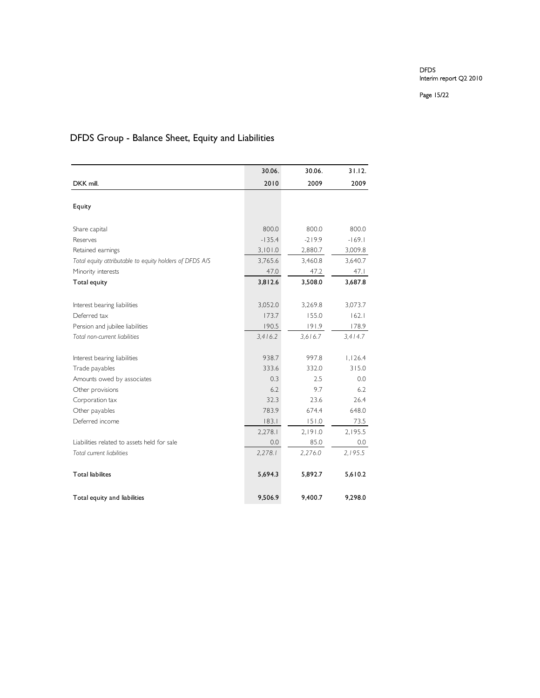Page 15/22

# DFDS Group - Balance Sheet, Equity and Liabilities

|                                                         | 30.06.   | 30.06.   | 31.12.   |
|---------------------------------------------------------|----------|----------|----------|
| DKK mill.                                               | 2010     | 2009     | 2009     |
|                                                         |          |          |          |
| Equity                                                  |          |          |          |
| Share capital                                           | 800.0    | 800.0    | 800.0    |
| Reserves                                                | $-135.4$ | $-219.9$ | $-169.1$ |
| Retained earnings                                       | 3,101.0  | 2,880.7  | 3,009.8  |
| Total equity attributable to equity holders of DFDS A/S | 3,765.6  | 3,460.8  | 3,640.7  |
| Minority interests                                      | 47.0     | 47.2     | 47.1     |
| Total equity                                            | 3,812.6  | 3,508.0  | 3,687.8  |
|                                                         |          |          |          |
| Interest bearing liabilities                            | 3,052.0  | 3,269.8  | 3,073.7  |
| Deferred tax                                            | 173.7    | 155.0    | 162.1    |
| Pension and jubilee liabilities                         | 190.5    | 191.9    | 178.9    |
| Total non-current liabilities                           | 3,416.2  | 3.616.7  | 3,414.7  |
| Interest bearing liabilities                            | 938.7    | 997.8    | 1,126.4  |
| Trade payables                                          | 333.6    | 332.0    | 315.0    |
| Amounts owed by associates                              | 0.3      | 2.5      | 0.0      |
| Other provisions                                        | 6.2      | 9.7      | 6.2      |
| Corporation tax                                         | 32.3     | 23.6     | 26.4     |
| Other payables                                          | 783.9    | 674.4    | 648.0    |
| Deferred income                                         | 183.1    | 151.0    | 73.5     |
|                                                         | 2,278.1  | 2,191.0  | 2,195.5  |
| Liabilities related to assets held for sale             | 0.0      | 85.0     | 0.0      |
| Total current liabilities                               | 2,278.1  | 2,276.0  | 2.195.5  |
| <b>Total liabilites</b>                                 | 5,694.3  | 5,892.7  | 5,610.2  |
| Total equity and liabilities                            | 9,506.9  | 9,400.7  | 9,298.0  |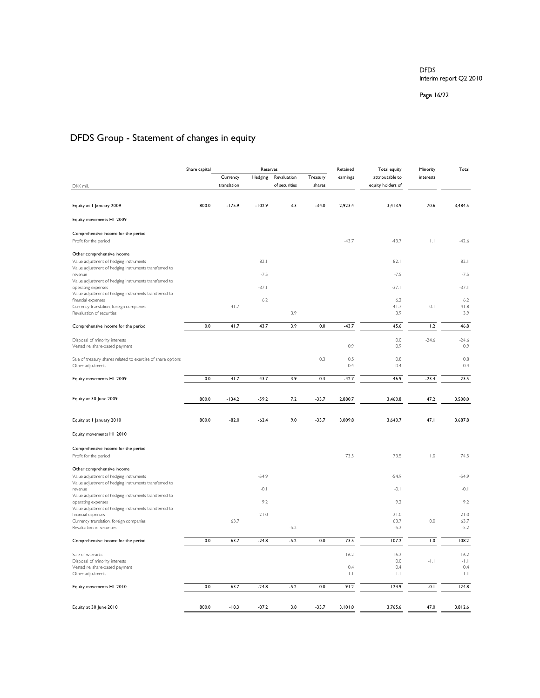Page 16/22

# DFDS Group - Statement of changes in equity

|                                                                              | Share capital |             | Reserves |               |          | Retained<br>Total equity     |                   | Total<br>Minority         |                             |
|------------------------------------------------------------------------------|---------------|-------------|----------|---------------|----------|------------------------------|-------------------|---------------------------|-----------------------------|
|                                                                              |               | Currency    | Hedging  | Revaluation   | Treasury | earnings                     | attributable to   | interests                 |                             |
| DKK mill.                                                                    |               | translation |          | of securities | shares   |                              | equity holders of |                           |                             |
|                                                                              |               |             |          |               |          |                              |                   |                           |                             |
| Equity at I January 2009                                                     | 800.0         | $-175.9$    | $-102.9$ | 3.3           | $-34.0$  | 2,923.4                      | 3,413.9           | 70.6                      | 3.484.5                     |
| Equity movements H1 2009                                                     |               |             |          |               |          |                              |                   |                           |                             |
| Comprehensive income for the period                                          |               |             |          |               |          |                              |                   |                           |                             |
| Profit for the period                                                        |               |             |          |               |          | $-43.7$                      | $-43.7$           | $\vert \cdot \vert$       | $-42.6$                     |
| Other comprehensive income                                                   |               |             |          |               |          |                              |                   |                           |                             |
| Value adjustment of hedging instruments                                      |               |             | 82.1     |               |          |                              | 82.1              |                           | 82.1                        |
| Value adjustment of hedging instruments transferred to                       |               |             |          |               |          |                              |                   |                           |                             |
| revenue<br>Value adjustment of hedging instruments transferred to            |               |             | $-7.5$   |               |          |                              | $-7.5$            |                           | $-7.5$                      |
| operating expenses                                                           |               |             | $-37.1$  |               |          |                              | $-37.1$           |                           | $-37.1$                     |
| Value adjustment of hedging instruments transferred to<br>financial expenses |               |             | 6.2      |               |          |                              | 6.2               |                           | 6.2                         |
| Currency translation, foreign companies                                      |               | 41.7        |          |               |          |                              | 41.7              | 0.1                       | 41.8                        |
| Revaluation of securities                                                    |               |             |          | 3.9           |          |                              | 3.9               |                           | 3.9                         |
| Comprehensive income for the period                                          | 0.0           | 41.7        | 43.7     | 3.9           | 0.0      | $-43.7$                      | 45.6              | 1.2                       | 46.8                        |
| Disposal of minority interests                                               |               |             |          |               |          |                              | 0.0               | $-24.6$                   | $-24.6$                     |
| Vested re. share-based payment                                               |               |             |          |               |          | 0.9                          | 0.9               |                           | 0.9                         |
| Sale of treasury shares related to exercise of share options                 |               |             |          |               | 0.3      | 0.5                          | 0.8               |                           | 0.8                         |
| Other adjustments                                                            |               |             |          |               |          | $-0.4$                       | $-0.4$            |                           | $-0.4$                      |
| Equity movements H1 2009                                                     | 0.0           | 41.7        | 43.7     | 3.9           | 0.3      | $-42.7$                      | 46.9              | $-23.4$                   | 23.5                        |
|                                                                              |               |             |          |               |          |                              |                   |                           |                             |
| Equity at 30 June 2009                                                       | 800.0         | $-134.2$    | $-59.2$  | 7.2           | $-33.7$  | 2,880.7                      | 3,460.8           | 47.2                      | 3,508.0                     |
|                                                                              |               |             |          |               |          |                              |                   |                           |                             |
| Equity at I January 2010                                                     | 800.0         | $-82.0$     | $-62.4$  | 9.0           | $-33.7$  | 3,009.8                      | 3,640.7           | 47.1                      | 3,687.8                     |
|                                                                              |               |             |          |               |          |                              |                   |                           |                             |
| Equity movements H1 2010                                                     |               |             |          |               |          |                              |                   |                           |                             |
| Comprehensive income for the period                                          |               |             |          |               |          |                              |                   |                           |                             |
| Profit for the period                                                        |               |             |          |               |          | 73.5                         | 73.5              | $\mathsf{I}.\mathsf{O}$   | 74.5                        |
| Other comprehensive income                                                   |               |             |          |               |          |                              |                   |                           |                             |
| Value adjustment of hedging instruments                                      |               |             | $-54.9$  |               |          |                              | $-54.9$           |                           | $-54.9$                     |
| Value adjustment of hedging instruments transferred to<br>revenue            |               |             | $-0.1$   |               |          |                              | $-0.1$            |                           | $-0.1$                      |
| Value adjustment of hedging instruments transferred to<br>operating expenses |               |             | 9.2      |               |          |                              | 9.2               |                           | 9.2                         |
| Value adjustment of hedging instruments transferred to                       |               |             |          |               |          |                              |                   |                           |                             |
| financial expenses                                                           |               | 63.7        | 21.0     |               |          |                              | 21.0              | 0.0                       | 21.0                        |
| Currency translation, foreign companies<br>Revaluation of securities         |               |             |          | $-5.2$        |          |                              | 63.7<br>$-5.2$    |                           | 63.7<br>$-5.2$              |
|                                                                              |               |             |          |               |          |                              |                   |                           |                             |
| Comprehensive income for the period                                          | 0.0           | 63.7        | $-24.8$  | $-5.2$        | 0.0      | 73.5                         | 107.2             | 1.0                       | 108.2                       |
| Sale of warrants                                                             |               |             |          |               |          | 16.2                         | 16.2              |                           | 16.2                        |
| Disposal of minority interests                                               |               |             |          |               |          |                              | 0.0               | $\left\Vert .\right\Vert$ | $\left\Vert .\right\Vert .$ |
| Vested re. share-based payment<br>Other adjustments                          |               |             |          |               |          | 0.4<br>$\vert \, . \, \vert$ | 0.4<br>$\ .\ $    |                           | 0.4<br>$\ .\ $              |
|                                                                              |               |             |          |               |          |                              |                   |                           |                             |
| Equity movements H1 2010                                                     | 0.0           | 63.7        | $-24.8$  | $-5.2$        | 0.0      | 91.2                         | 124.9             | $-0.1$                    | 124.8                       |
|                                                                              |               |             |          |               |          |                              |                   |                           |                             |
| Equity at 30 June 2010                                                       | 800.0         | $-18.3$     | $-87.2$  | 3.8           | $-33.7$  | 3,101.0                      | 3,765.6           | 47.0                      | 3,812.6                     |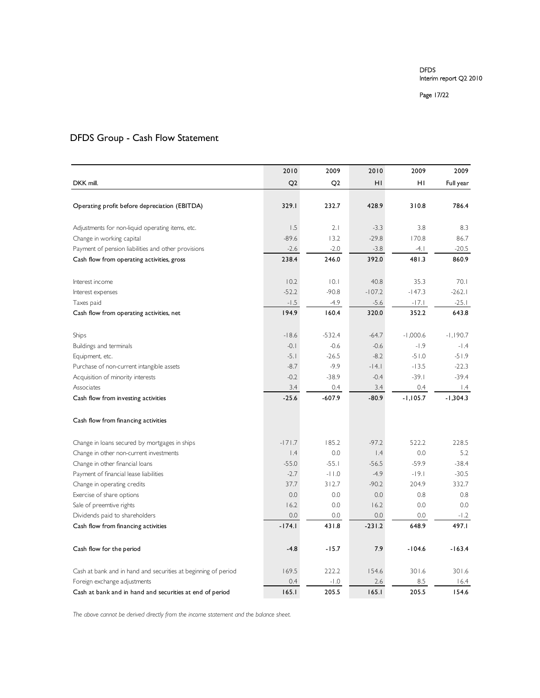#### Page 17/22

# DFDS Group - Cash Flow Statement

|                                                                | 2010             | 2009              | 2010              | 2009               | 2009               |
|----------------------------------------------------------------|------------------|-------------------|-------------------|--------------------|--------------------|
| DKK mill.                                                      | Q <sub>2</sub>   | Q <sub>2</sub>    | HI                | HI                 | Full year          |
|                                                                |                  |                   |                   |                    |                    |
| Operating profit before depreciation (EBITDA)                  | 329.1            | 232.7             | 428.9             | 310.8              | 786.4              |
| Adjustments for non-liquid operating items, etc.               | 1.5              | 2.1               | $-3.3$            | 3.8                | 8.3                |
| Change in working capital                                      | $-89.6$          | 13.2              | $-29.8$           | 170.8              | 86.7               |
| Payment of pension liabilities and other provisions            | $-2.6$           | $-2.0$            | $-3.8$            | $-4.1$             | $-20.5$            |
| Cash flow from operating activities, gross                     | 238.4            | 246.0             | 392.0             | 481.3              | 860.9              |
| Interest income                                                | 10.2             | 0,1               | 40.8              | 35.3               | 70.1               |
| Interest expenses                                              | $-52.2$          | $-90.8$           | $-107.2$          | $-147.3$           | $-262.1$           |
| Taxes paid                                                     | $-1.5$           | $-4.9$            | $-5.6$            | $-17.1$            | $-25.1$            |
| Cash flow from operating activities, net                       | 194.9            | 160.4             | 320.0             | 352.2              | 643.8              |
|                                                                |                  |                   |                   |                    |                    |
| Ships                                                          | $-18.6$          | $-532.4$          | $-64.7$           | $-1,000.6$         | $-1,190.7$         |
| Buildings and terminals                                        | $-0.1$           | $-0.6$            | $-0.6$            | $-1.9$             | $-1.4$             |
| Equipment, etc.                                                | $-5.1$<br>$-8.7$ | $-26.5$<br>$-9.9$ | $-8.2$<br>$-14.1$ | $-51.0$<br>$-13.5$ | $-51.9$<br>$-22.3$ |
| Purchase of non-current intangible assets                      | $-0.2$           | $-38.9$           | $-0.4$            | $-39.1$            | $-39.4$            |
| Acquisition of minority interests<br>Associates                | 3.4              | 0.4               | 3.4               | 0.4                | $\vert A$          |
| Cash flow from investing activities                            | $-25.6$          | $-607.9$          | $-80.9$           | $-1,105.7$         | $-1,304.3$         |
|                                                                |                  |                   |                   |                    |                    |
| Cash flow from financing activities                            |                  |                   |                   |                    |                    |
| Change in loans secured by mortgages in ships                  | $-171.7$         | 185.2             | $-97.2$           | 522.2              | 228.5              |
| Change in other non-current investments                        | $\vert A$        | 0.0               | $\mathsf{I}$ .4   | 0.0                | 5.2                |
| Change in other financial loans                                | $-55.0$          | $-55.1$           | $-56.5$           | $-59.9$            | $-38.4$            |
| Payment of financial lease liabilities                         | $-2.7$           | $-11.0$           | $-4.9$            | $-19.1$            | $-30.5$            |
| Change in operating credits                                    | 37.7             | 312.7             | $-90.2$           | 204.9              | 332.7              |
| Exercise of share options                                      | 0.0              | 0.0               | 0.0               | 0.8                | 0.8                |
| Sale of preemtive rights                                       | 16.2             | 0.0               | 16.2              | 0.0                | 0.0                |
| Dividends paid to shareholders                                 | 0.0              | 0.0               | 0.0               | 0.0                | $-1.2$             |
| Cash flow from financing activities                            | $-174.1$         | 431.8             | $-231.2$          | 648.9              | 497.I              |
| Cash flow for the period                                       | $-4.8$           | $-15.7$           | 7.9               | $-104.6$           | $-163.4$           |
| Cash at bank and in hand and securities at beginning of period | 169.5            | 222.2             | 154.6             | 301.6              | 301.6              |
| Foreign exchange adjustments                                   | 0.4              | $-1.0$            | 2.6               | 8.5                | 16.4               |
| Cash at bank and in hand and securities at end of period       | 165.1            | 205.5             | 165.1             | 205.5              | 154.6              |

*The above cannot be derived directly from the income statement and the balance sheet.*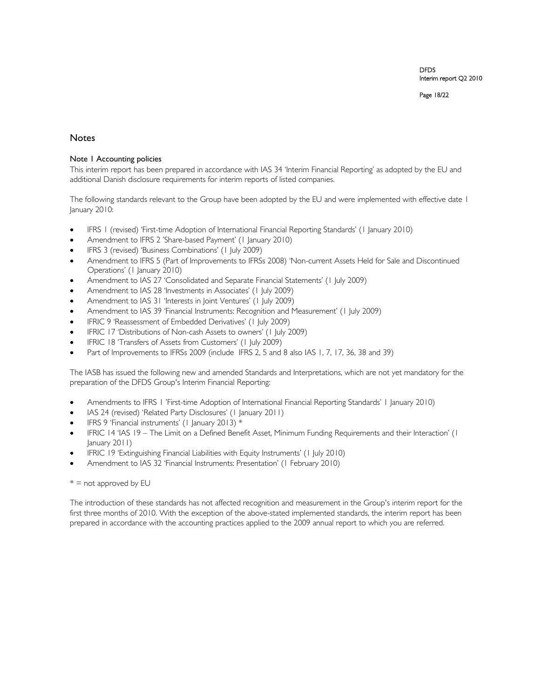Page 18/22

### **Notes**

### Note 1 Accounting policies

This interim report has been prepared in accordance with IAS 34 'Interim Financial Reporting' as adopted by the EU and additional Danish disclosure requirements for interim reports of listed companies.

The following standards relevant to the Group have been adopted by the EU and were implemented with effective date 1 January 2010:

- IFRS 1 (revised) 'First-time Adoption of International Financial Reporting Standards' (1 January 2010)
- Amendment to IFRS 2 'Share-based Payment' (1 January 2010)
- IFRS 3 (revised) 'Business Combinations' (1 July 2009)
- Amendment to IFRS 5 (Part of Improvements to IFRSs 2008) 'Non-current Assets Held for Sale and Discontinued Operations' (1 January 2010)
- Amendment to IAS 27 'Consolidated and Separate Financial Statements' (1 July 2009)
- Amendment to IAS 28 'Investments in Associates' (1 July 2009)
- Amendment to IAS 31 'Interests in Joint Ventures' (1 July 2009)
- Amendment to IAS 39 'Financial Instruments: Recognition and Measurement' (1 July 2009)
- IFRIC 9 'Reassessment of Embedded Derivatives' (1 July 2009)
- IFRIC 17 'Distributions of Non-cash Assets to owners' (1 July 2009)
- IFRIC 18 'Transfers of Assets from Customers' (1 July 2009)
- Part of Improvements to IFRSs 2009 (include IFRS 2, 5 and 8 also IAS 1, 7, 17, 36, 38 and 39)

The IASB has issued the following new and amended Standards and Interpretations, which are not yet mandatory for the preparation of the DFDS Group's Interim Financial Reporting:

- Amendments to IFRS 1 'First-time Adoption of International Financial Reporting Standards' 1 January 2010)
- IAS 24 (revised) 'Related Party Disclosures' (1 January 2011)
- IFRS 9 'Financial instruments' (1 January 2013) \*
- IFRIC 14 'IAS 19 The Limit on a Defined Benefit Asset, Minimum Funding Requirements and their Interaction' (1 January 2011)
- IFRIC 19 'Extinguishing Financial Liabilities with Equity Instruments' (1 July 2010)
- Amendment to IAS 32 'Financial Instruments: Presentation' (1 February 2010)

#### $* =$  not approved by EU

The introduction of these standards has not affected recognition and measurement in the Group's interim report for the first three months of 2010. With the exception of the above-stated implemented standards, the interim report has been prepared in accordance with the accounting practices applied to the 2009 annual report to which you are referred.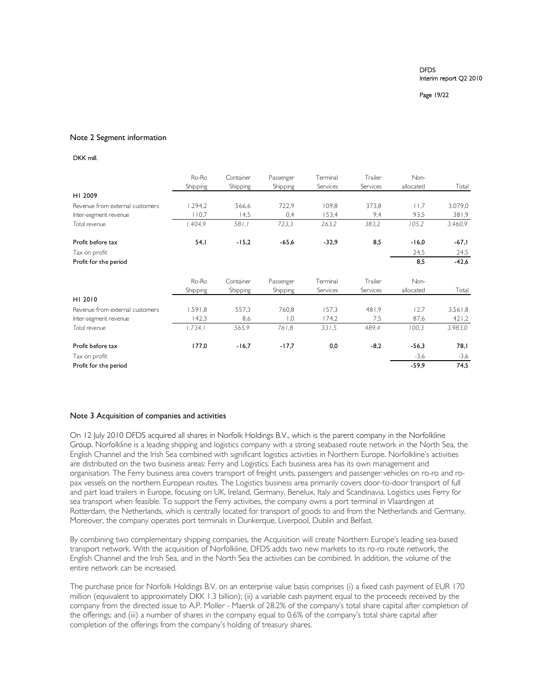#### Page 19/22

#### Note 2 Segment information

#### DKK mill.

|                                 | Ro-Ro    | Container | Passenger        | Terminal | Trailer  | Non-      |         |
|---------------------------------|----------|-----------|------------------|----------|----------|-----------|---------|
|                                 | Shipping | Shipping  | Shipping         | Services | Services | allocated | Total   |
| HI 2009                         |          |           |                  |          |          |           |         |
| Revenue from external customers | 1.294.2  | 566,6     | 722,9            | 109.8    | 373,8    | 11,7      | 3.079,0 |
| Inter-segment revenue           | 110,7    | 14,5      | 0,4              | 153,4    | 9,4      | 93,5      | 381,9   |
| Total revenue                   | 1.404,9  | 581,1     | 723,3            | 263,2    | 383,2    | 105,2     | 3.460,9 |
| Profit before tax               | 54,1     | $-15,2$   | $-65,6$          | $-32,9$  | 8,5      | $-16,0$   | $-67,1$ |
| Tax on profit                   |          |           |                  |          |          | 24,5      | 24,5    |
| Profit for the period           |          |           |                  |          |          | 8,5       | $-42,6$ |
|                                 | Ro-Ro    | Container | Passenger        | Terminal | Trailer  | Non-      |         |
|                                 | Shipping | Shipping  | Shipping         | Services | Services | allocated | Total   |
| HI 2010                         |          |           |                  |          |          |           |         |
| Revenue from external customers | 1.591,8  | 557,3     | 760,8            | 157.3    | 481,9    | 12,7      | 3.561,8 |
| Inter-segment revenue           | 142,3    | 8,6       | $\overline{0}$ . | 174,2    | 7,5      | 87,6      | 421,2   |
| Total revenue                   | 1.734,1  | 565,9     | 761,8            | 331,5    | 489.4    | 100,3     | 3.983,0 |
| Profit before tax               | 177,0    | $-16,7$   | $-17,7$          | 0,0      | $-8,2$   | $-56,3$   | 78, I   |
| Tax on profit                   |          |           |                  |          |          | $-3,6$    | $-3,6$  |
| Profit for the period           |          |           |                  |          |          | $-59,9$   | 74,5    |

#### Note 3 Acquisition of companies and activities

On 12 July 2010 DFDS acquired all shares in Norfolk Holdings B.V., which is the parent company in the Norfolkline Group. Norfolkline is a leading shipping and logistics company with a strong seabased route network in the North Sea, the English Channel and the Irish Sea combined with significant logistics activities in Northern Europe. Norfolkline's activities are distributed on the two business areas: Ferry and Logistics. Each business area has its own management and organisation. The Ferry business area covers transport of freight units, passengers and passenger vehicles on ro-ro and ropax vessels on the northern European routes. The Logistics business area primarily covers door-to-door transport of full and part load trailers in Europe, focusing on UK, Ireland, Germany, Benelux, Italy and Scandinavia. Logistics uses Ferry for sea transport when feasible. To support the Ferry activities, the company owns a port terminal in Vlaardingen at Rotterdam, the Netherlands, which is centrally located for transport of goods to and from the Netherlands and Germany. Moreover, the company operates port terminals in Dunkerque, Liverpool, Dublin and Belfast.

By combining two complementary shipping companies, the Acquisition will create Northern Europe's leading sea-based transport network. With the acquisition of Norfolkline, DFDS adds two new markets to its ro-ro route network, the English Channel and the Irish Sea, and in the North Sea the activities can be combined. In addition, the volume of the entire network can be increased.

The purchase price for Norfolk Holdings B.V. on an enterprise value basis comprises (i) a fixed cash payment of EUR 170 million (equivalent to approximately DKK 1.3 billion); (ii) a variable cash payment equal to the proceeds received by the company from the directed issue to A.P. Moller - Maersk of 28.2% of the company's total share capital after completion of the offerings; and (iii) a number of shares in the company equal to 0.6% of the company's total share capital after completion of the offerings from the company's holding of treasury shares.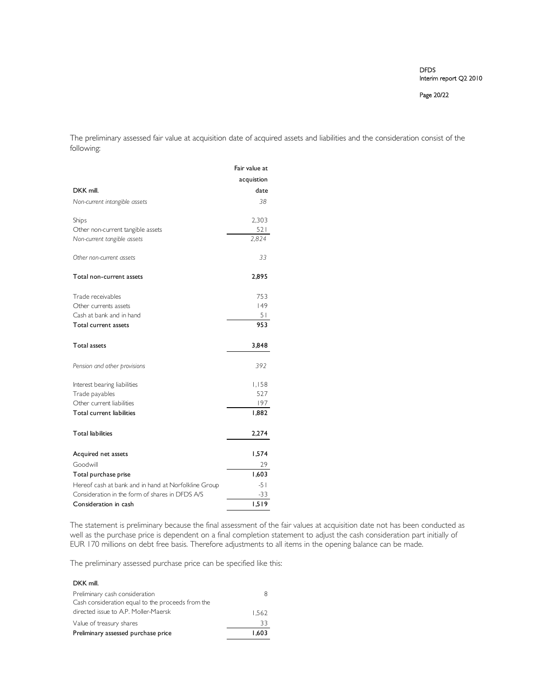Page 20/22

The preliminary assessed fair value at acquisition date of acquired assets and liabilities and the consideration consist of the following:

|                                                      | Fair value at |
|------------------------------------------------------|---------------|
|                                                      | acquistion    |
| DKK mill.                                            | date          |
| Non-current intangible assets                        | 38            |
| Ships                                                | 2,303         |
| Other non-current tangible assets                    | 521           |
| Non-current tangible assets                          | 2,824         |
| Other non-current assets                             | 33            |
| Total non-current assets                             | 2,895         |
| Trade receivables                                    | 753           |
| Other currents assets                                | 149           |
| Cash at bank and in hand                             | 51            |
| Total current assets                                 | 953           |
| <b>Total assets</b>                                  | 3,848         |
| Pension and other provisions                         | 392           |
| Interest bearing liabilities                         | 1,158         |
| Trade payables                                       | 527           |
| Other current liabilities                            | 197           |
| Total current liabilities                            | 1,882         |
| <b>Total liabilities</b>                             | 2,274         |
| Acquired net assets                                  | 1,574         |
| Goodwill                                             | 29            |
| Total purchase prise                                 | 1,603         |
| Hereof cash at bank and in hand at Norfolkline Group | $-51$         |
| Consideration in the form of shares in DFDS A/S      | $-33$         |
| Consideration in cash                                | 1.519         |

The statement is preliminary because the final assessment of the fair values at acquisition date not has been conducted as well as the purchase price is dependent on a final completion statement to adjust the cash consideration part initially of EUR 170 millions on debt free basis. Therefore adjustments to all items in the opening balance can be made.

The preliminary assessed purchase price can be specified like this:

| DKK mill.                                         |       |
|---------------------------------------------------|-------|
| Preliminary cash consideration                    |       |
| Cash consideration equal to the proceeds from the |       |
| directed issue to A.P. Moller-Maersk              | 1.562 |
| Value of treasury shares                          | 33    |
| Preliminary assessed purchase price               | 1.603 |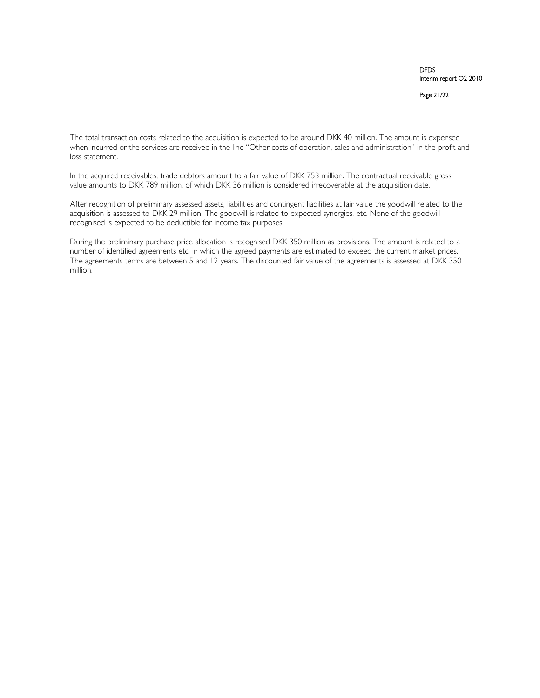Page 21/22

The total transaction costs related to the acquisition is expected to be around DKK 40 million. The amount is expensed when incurred or the services are received in the line "Other costs of operation, sales and administration" in the profit and loss statement.

In the acquired receivables, trade debtors amount to a fair value of DKK 753 million. The contractual receivable gross value amounts to DKK 789 million, of which DKK 36 million is considered irrecoverable at the acquisition date.

After recognition of preliminary assessed assets, liabilities and contingent liabilities at fair value the goodwill related to the acquisition is assessed to DKK 29 million. The goodwill is related to expected synergies, etc. None of the goodwill recognised is expected to be deductible for income tax purposes.

During the preliminary purchase price allocation is recognised DKK 350 million as provisions. The amount is related to a number of identified agreements etc. in which the agreed payments are estimated to exceed the current market prices. The agreements terms are between 5 and 12 years. The discounted fair value of the agreements is assessed at DKK 350 million.